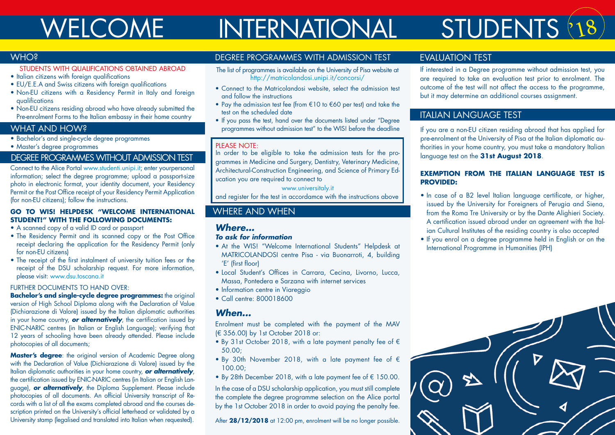## WELCOME INTERNATIONAL

# STUDENTS 218

#### **WHO?**

#### STUDENTS WITH QUALIFICATIONS OBTAINED ABROAD

- Italian citizens with foreign qualifications
- EU/E.E.A and Swiss citizens with foreign qualifications
- Non-EU citizens with a Residency Permit in Italy and foreian qualifications
- Non-EU citizens residing abroad who have already submitted the Pre-enrolment Forms to the Italian embassy in their home country

#### WHAT AND HOW?

• Bachelor's and single-cycle degree programmes

• Master's degree programmes

#### DEGREE PROGRAMMES WITHOUT ADMISSION TEST

Connect to the Alice Portal www.studenti.unipi.it; enter yourpersonal information; select the degree programme; upload a passport-size photo in electronic format, your identity document, your Residency Permit or the Post Office receipt of your Residency Permit Application (for non-EU citizens); follow the instructions.

#### **GO TO WIS! HELPDESK "WELCOME INTERNATIONAL STUDENT!" WITH THE FOLLOWING DOCUMENTS:**

- A scanned copy of a valid ID card or passport
- The Residency Permit and its scanned copy or the Post Office receipt declaring the application for the Residency Permit (only for non-EU citizens)
- The receipt of the first instalment of university tuition fees or the receipt of the DSU scholarship request. For more information, please visit: www.dsu.toscana.it

#### FURTHER DOCUMENTS TO HAND OVER:

**Bachelor's and single-cycle degree programmes:** the original version of High School Diploma along with the Declaration of Value (Dichiarazione di Valore) issued by the Italian diplomatic authorities in your home country, *or alternatively*, the certification issued by ENIC-NARIC centres (in Italian or English Language); verifying that 12 years of schooling have been already attended. Please include photocopies of all documents;

**Master's degree:** the original version of Academic Degree along with the Declaration of Value (Dichiarazione di Valore) issued by the Italian diplomatic authorities in your home country, *or alternatively*, the certification issued by ENIC-NARIC centres (in Italian or English Language), *or alternatively*, the Diploma Supplement. Please include photocopies of all documents. An official University transcript of Records with a list of all the exams completed abroad and the courses description printed on the University's official letterhead or validated by a University stamp (legalised and translated into Italian when requested).

#### DEGREE PROGRAMMES WITH ADMISSION TEST

- The list of programmes is available on the University of Pisa website at http://matricolandosi.unipi.it/concorsi/
- Connect to the Matricolandosi website, select the admission test and follow the instructions
- Pay the admission test fee (from €10 to €60 per test) and take the test on the scheduled date
- If you pass the test, hand over the documents listed under "Degree programmes without admission test" to the WIS! before the deadline

#### PLEASE NOTE:

In order to be eligible to take the admission tests for the programmes in Medicine and Surgery, Dentistry, Veterinary Medicine, Architectural-Construction Engineering, and Science of Primary Education you are required to connect to

www.universitaly.it

and register for the test in accordamce with the instructions above

### WHERE AND WHEN

#### *Where…*

#### *To ask for information*

- At the WIS! "Welcome International Students" Helpdesk at MATRICOLANDOSI centre Pisa - via Buonarroti, 4, building 'E' (first floor)
- Local Student's Offices in Carrara, Cecina, Livorno, Lucca, Massa, Pontedera e Sarzana with internet services
- Information centre in Viareggio
- Call centre: 800018600

#### *When...*

Enrolment must be completed with the payment of the MAV (€ 356.00) by 1st October 2018 or:

- By 31st October 2018, with a late payment penalty fee of € 50.00;
- By 30th November 2018, with a late payment fee of € 100.00;
- By 28th December 2018, with a late payment fee of € 150.00.

In the case of a DSU scholarship application, you must still complete the complete the degree programme selection on the Alice portal by the 1st October 2018 in order to avoid paying the penalty fee.

After **28/12/2018** at 12:00 pm, enrolment will be no longer possible.

#### EVALUATION TEST

If interested in a Degree programme without admission test, you are required to take an evaluation test prior to enrolment. The outcome of the test will not affect the access to the programme, but it may determine an additional courses assignment.

### ITALIAN LANGUAGE TEST

If you are a non-EU citizen residing abroad that has applied for pre-enrolment at the University of Pisa at the Italian diplomatic authorities in your home country, you must take a mandatory Italian language test on the **31st August 2018**.

#### **EXEMPTION FROM THE ITALIAN LANGUAGE TEST IS PROVIDED:**

- In case of a B2 level Italian language certificate, or higher, issued by the University for Foreigners of Perugia and Siena, from the Roma Tre University or by the Dante Alighieri Society. A certification issued abroad under an agreement with the Italian Cultural Institutes of the residing country is also accepted
- If you enrol on a degree programme held in English or on the International Programme in Humanities (IPH)